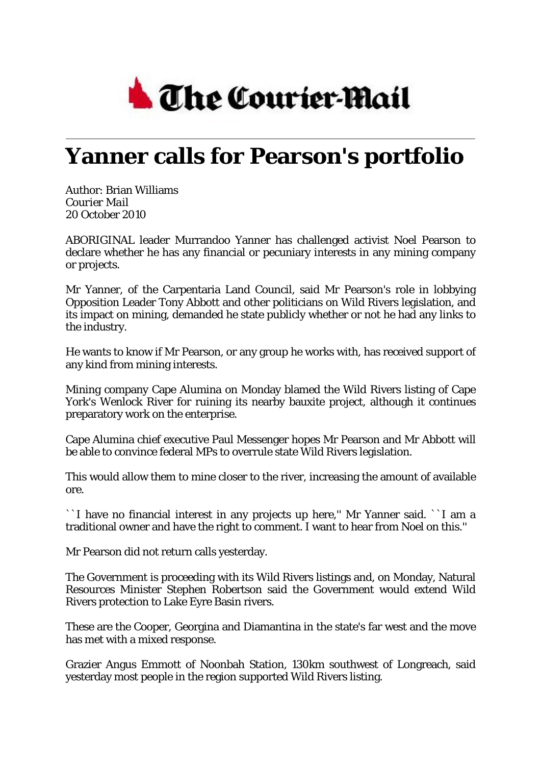

## **Yanner calls for Pearson's portfolio**

Author: Brian Williams *Courier Mail* 20 October 2010

ABORIGINAL leader Murrandoo Yanner has challenged activist Noel Pearson to declare whether he has any financial or pecuniary interests in any mining company or projects.

Mr Yanner, of the Carpentaria Land Council, said Mr Pearson's role in lobbying Opposition Leader Tony Abbott and other politicians on Wild Rivers legislation, and its impact on mining, demanded he state publicly whether or not he had any links to the industry.

He wants to know if Mr Pearson, or any group he works with, has received support of any kind from mining interests.

Mining company Cape Alumina on Monday blamed the Wild Rivers listing of Cape York's Wenlock River for ruining its nearby bauxite project, although it continues preparatory work on the enterprise.

Cape Alumina chief executive Paul Messenger hopes Mr Pearson and Mr Abbott will be able to convince federal MPs to overrule state Wild Rivers legislation.

This would allow them to mine closer to the river, increasing the amount of available ore.

``I have no financial interest in any projects up here,'' Mr Yanner said. ``I am a traditional owner and have the right to comment. I want to hear from Noel on this.''

Mr Pearson did not return calls yesterday.

The Government is proceeding with its Wild Rivers listings and, on Monday, Natural Resources Minister Stephen Robertson said the Government would extend Wild Rivers protection to Lake Eyre Basin rivers.

These are the Cooper, Georgina and Diamantina in the state's far west and the move has met with a mixed response.

Grazier Angus Emmott of Noonbah Station, 130km southwest of Longreach, said yesterday most people in the region supported Wild Rivers listing.